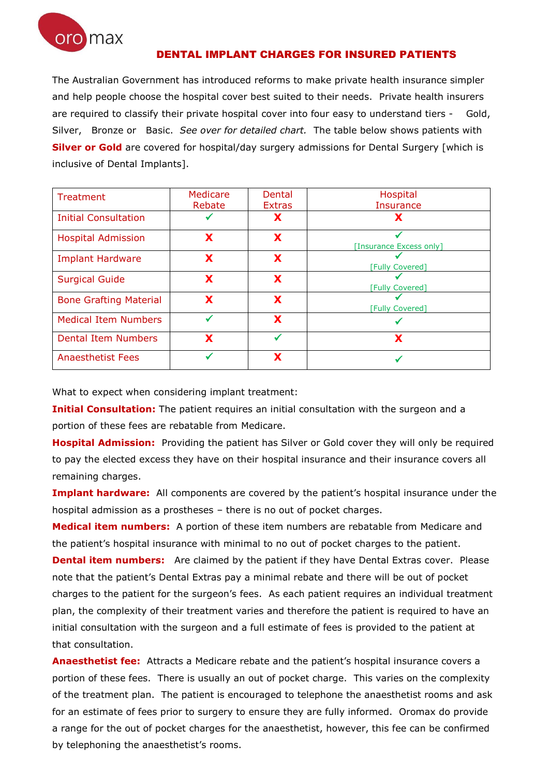

## DENTAL IMPLANT CHARGES FOR INSURED PATIENTS

The Australian Government has introduced reforms to make private health insurance simpler and help people choose the hospital cover best suited to their needs. Private health insurers are required to classify their private hospital cover into four easy to understand tiers - Gold, Silver, Bronze or Basic. *See over for detailed chart.* The table below shows patients with **Silver or Gold** are covered for hospital/day surgery admissions for Dental Surgery [which is inclusive of Dental Implants].

| Treatment                     | Medicare | Dental        | Hospital                |  |  |
|-------------------------------|----------|---------------|-------------------------|--|--|
|                               | Rebate   | <b>Extras</b> | <b>Insurance</b>        |  |  |
| <b>Initial Consultation</b>   |          | Х             |                         |  |  |
| <b>Hospital Admission</b>     | X        | X             |                         |  |  |
|                               |          |               | [Insurance Excess only] |  |  |
| <b>Implant Hardware</b>       | X        | X             |                         |  |  |
|                               |          |               | <b>Fully Covered]</b>   |  |  |
| <b>Surgical Guide</b>         | X        | X             |                         |  |  |
|                               |          |               | <b>Fully Covered</b>    |  |  |
| <b>Bone Grafting Material</b> | X        | X             |                         |  |  |
|                               |          |               | [Fully Covered]         |  |  |
| <b>Medical Item Numbers</b>   |          | X             |                         |  |  |
| <b>Dental Item Numbers</b>    | X        | ✔             | X                       |  |  |
| <b>Anaesthetist Fees</b>      |          | Х             |                         |  |  |

What to expect when considering implant treatment:

**Initial Consultation:** The patient requires an initial consultation with the surgeon and a portion of these fees are rebatable from Medicare.

**Hospital Admission:** Providing the patient has Silver or Gold cover they will only be required to pay the elected excess they have on their hospital insurance and their insurance covers all remaining charges.

**Implant hardware:** All components are covered by the patient's hospital insurance under the hospital admission as a prostheses – there is no out of pocket charges.

**Medical item numbers:** A portion of these item numbers are rebatable from Medicare and the patient's hospital insurance with minimal to no out of pocket charges to the patient. **Dental item numbers:** Are claimed by the patient if they have Dental Extras cover. Please note that the patient's Dental Extras pay a minimal rebate and there will be out of pocket charges to the patient for the surgeon's fees. As each patient requires an individual treatment plan, the complexity of their treatment varies and therefore the patient is required to have an initial consultation with the surgeon and a full estimate of fees is provided to the patient at that consultation.

**Anaesthetist fee:** Attracts a Medicare rebate and the patient's hospital insurance covers a portion of these fees. There is usually an out of pocket charge. This varies on the complexity of the treatment plan. The patient is encouraged to telephone the anaesthetist rooms and ask for an estimate of fees prior to surgery to ensure they are fully informed. Oromax do provide a range for the out of pocket charges for the anaesthetist, however, this fee can be confirmed by telephoning the anaesthetist's rooms.